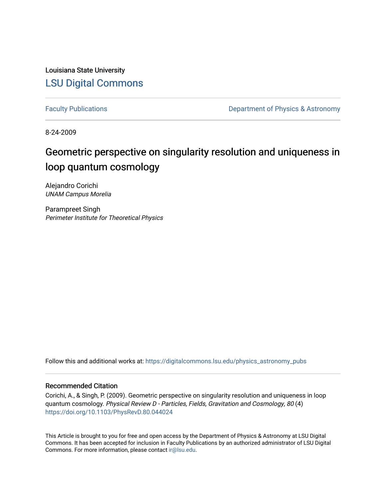Louisiana State University [LSU Digital Commons](https://digitalcommons.lsu.edu/)

[Faculty Publications](https://digitalcommons.lsu.edu/physics_astronomy_pubs) **Exercise 2 and Table 2 and Table 2 and Table 2 and Table 2 and Table 2 and Table 2 and Table 2 and Table 2 and Table 2 and Table 2 and Table 2 and Table 2 and Table 2 and Table 2 and Table 2 and Table** 

8-24-2009

# Geometric perspective on singularity resolution and uniqueness in loop quantum cosmology

Alejandro Corichi UNAM Campus Morelia

Parampreet Singh Perimeter Institute for Theoretical Physics

Follow this and additional works at: [https://digitalcommons.lsu.edu/physics\\_astronomy\\_pubs](https://digitalcommons.lsu.edu/physics_astronomy_pubs?utm_source=digitalcommons.lsu.edu%2Fphysics_astronomy_pubs%2F5072&utm_medium=PDF&utm_campaign=PDFCoverPages) 

## Recommended Citation

Corichi, A., & Singh, P. (2009). Geometric perspective on singularity resolution and uniqueness in loop quantum cosmology. Physical Review D - Particles, Fields, Gravitation and Cosmology, 80 (4) <https://doi.org/10.1103/PhysRevD.80.044024>

This Article is brought to you for free and open access by the Department of Physics & Astronomy at LSU Digital Commons. It has been accepted for inclusion in Faculty Publications by an authorized administrator of LSU Digital Commons. For more information, please contact [ir@lsu.edu](mailto:ir@lsu.edu).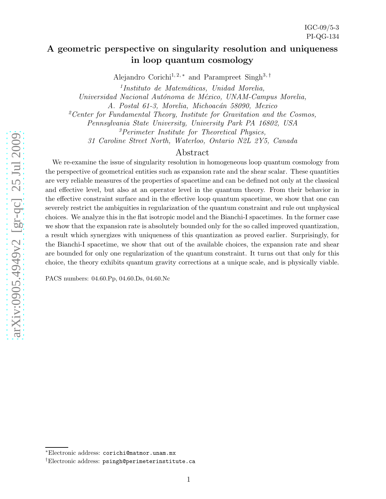# A geometric perspective on singularity resolution and uniqueness in loop quantum cosmology

Alejandro Corichi<sup>1, 2,\*</sup> and Parampreet Singh<sup>3,†</sup>

<sup>1</sup>Instituto de Matemáticas, Unidad Morelia, Universidad Nacional Autónoma de México, UNAM-Campus Morelia,

A. Postal 61-3, Morelia, Michoacán 58090, Mexico

<sup>2</sup> Center for Fundamental Theory, Institute for Gravitation and the Cosmos,

Pennsylvania State University, University Park PA 16802, USA <sup>3</sup>Perimeter Institute for Theoretical Physics,

31 Caroline Street North, Waterloo, Ontario N2L 2Y5, Canada

# Abstract

We re-examine the issue of singularity resolution in homogeneous loop quantum cosmology from the perspective of geometrical entities such as expansion rate and the shear scalar. These quantities are very reliable measures of the properties of spacetime and can be defined not only at the classical and effective level, but also at an operator level in the quantum theory. From their behavior in the effective constraint surface and in the effective loop quantum spacetime, we show that one can severely restrict the ambiguities in regularization of the quantum constraint and rule out unphysical choices. We analyze this in the flat isotropic model and the Bianchi-I spacetimes. In the former case we show that the expansion rate is absolutely bounded only for the so called improved quantization, a result which synergizes with uniqueness of this quantization as proved earlier. Surprisingly, for the Bianchi-I spacetime, we show that out of the available choices, the expansion rate and shear are bounded for only one regularization of the quantum constraint. It turns out that only for this choice, the theory exhibits quantum gravity corrections at a unique scale, and is physically viable.

PACS numbers: 04.60.Pp, 04.60.Ds, 04.60.Nc

<sup>∗</sup>Electronic address: corichi@matmor.unam.mx

<sup>†</sup>Electronic address: psingh@perimeterinstitute.ca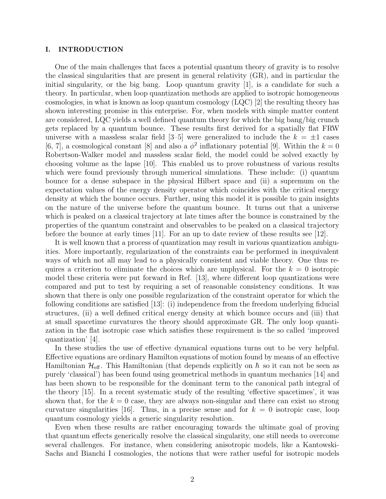#### I. INTRODUCTION

One of the main challenges that faces a potential quantum theory of gravity is to resolve the classical singularities that are present in general relativity (GR), and in particular the initial singularity, or the big bang. Loop quantum gravity [1], is a candidate for such a theory. In particular, when loop quantization methods are applied to isotropic homogeneous cosmologies, in what is known as loop quantum cosmology (LQC) [2] the resulting theory has shown interesting promise in this enterprise. For, when models with simple matter content are considered, LQC yields a well defined quantum theory for which the big bang/big crunch gets replaced by a quantum bounce. These results first derived for a spatially flat FRW universe with a massless scalar field  $[3-5]$  were generalized to include the  $k = \pm 1$  cases [6, 7], a cosmological constant [8] and also a  $\phi^2$  inflationary potential [9]. Within the  $k=0$ Robertson-Walker model and massless scalar field, the model could be solved exactly by choosing volume as the lapse [10]. This enabled us to prove robustness of various results which were found previously through numerical simulations. These include: (i) quantum bounce for a dense subspace in the physical Hilbert space and (ii) a supremum on the expectation values of the energy density operator which coincides with the critical energy density at which the bounce occurs. Further, using this model it is possible to gain insights on the nature of the universe before the quantum bounce. It turns out that a universe which is peaked on a classical trajectory at late times after the bounce is constrained by the properties of the quantum constraint and observables to be peaked on a classical trajectory before the bounce at early times [11]. For an up to date review of these results see [12].

It is well known that a process of quantization may result in various quantization ambiguities. More importantly, regularization of the constraints can be performed in inequivalent ways of which not all may lead to a physically consistent and viable theory. One thus requires a criterion to eliminate the choices which are unphysical. For the  $k = 0$  isotropic model these criteria were put forward in Ref. [13], where different loop quantizations were compared and put to test by requiring a set of reasonable consistency conditions. It was shown that there is only one possible regularization of the constraint operator for which the following conditions are satisfied [13]: (i) independence from the freedom underlying fiducial structures, (ii) a well defined critical energy density at which bounce occurs and (iii) that at small spacetime curvatures the theory should approximate GR. The only loop quantization in the flat isotropic case which satisfies these requirement is the so called 'improved quantization' [4].

In these studies the use of effective dynamical equations turns out to be very helpful. Effective equations are ordinary Hamilton equations of motion found by means of an effective Hamiltonian  $\mathcal{H}_{\text{eff}}$ . This Hamiltonian (that depends explicitly on  $\hbar$  so it can not be seen as purely 'classical') has been found using geometrical methods in quantum mechanics [14] and has been shown to be responsible for the dominant term to the canonical path integral of the theory [15]. In a recent systematic study of the resulting 'effective spacetimes', it was shown that, for the  $k = 0$  case, they are always non-singular and there can exist no strong curvature singularities [16]. Thus, in a precise sense and for  $k = 0$  isotropic case, loop quantum cosmology yields a generic singularity resolution.

Even when these results are rather encouraging towards the ultimate goal of proving that quantum effects generically resolve the classical singularity, one still needs to overcome several challenges. For instance, when considering anisotropic models, like a Kantowski-Sachs and Bianchi I cosmologies, the notions that were rather useful for isotropic models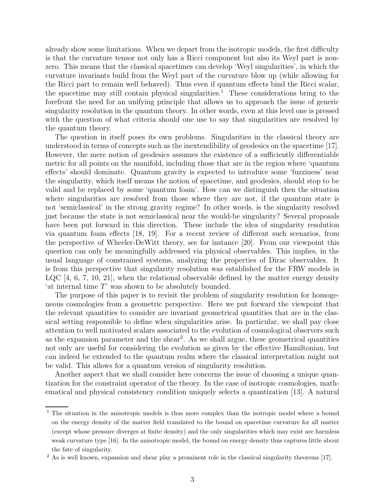already show some limitations. When we depart from the isotropic models, the first difficulty is that the curvature tensor not only has a Ricci component but also its Weyl part is nonzero. This means that the classical spacetimes can develop 'Weyl singularities', in which the curvature invariants build from the Weyl part of the curvature blow up (while allowing for the Ricci part to remain well behaved). Thus even if quantum effects bind the Ricci scalar, the spacetime may still contain physical singularities.<sup>1</sup> These considerations bring to the forefront the need for an unifying principle that allows us to approach the issue of generic singularity resolution in the quantum theory. In other words, even at this level one is pressed with the question of what criteria should one use to say that singularities are resolved by the quantum theory.

The question in itself poses its own problems. Singularities in the classical theory are understood in terms of concepts such as the inextendibility of geodesics on the spacetime [17]. However, the mere notion of geodesics assumes the existence of a sufficiently differentiable metric for all points on the manifold, including those that are in the region where 'quantum effects' should dominate. Quantum gravity is expected to introduce some 'fuzziness' near the singularity, which itself means the notion of spacetime, and geodesics, should stop to be valid and be replaced by some 'quantum foam'. How can we distinguish then the situation where singularities are resolved from those where they are not, if the quantum state is not 'semiclassical' in the strong gravity regime? In other words, is the singularity resolved just because the state is not semiclassical near the would-be singularity? Several proposals have been put forward in this direction. These include the idea of singularity resolution via quantum foam effects [18, 19]. For a recent review of different such scenarios, from the perspective of Wheeler-DeWitt theory, see for instance [20]. From our viewpoint this question can only be meaningfully addressed via physical observables. This implies, in the usual language of constrained systems, analyzing the properties of Dirac observables. It is from this perspective that singularity resolution was established for the FRW models in LQC [4, 6, 7, 10, 21], when the relational observable defined by the matter energy density 'at internal time T' was shown to be absolutely bounded.

The purpose of this paper is to revisit the problem of singularity resolution for homogeneous cosmologies from a geometric perspective. Here we put forward the viewpoint that the relevant quantities to consider are invariant geometrical quantities that are in the classical setting responsible to define when singularities arise. In particular, we shall pay close attention to well motivated scalars associated to the evolution of cosmological observers such as the expansion parameter and the shear<sup>2</sup>. As we shall argue, these geometrical quantities not only are useful for considering the evolution as given by the effective Hamiltonian, but can indeed be extended to the quantum realm where the classical interpretation might not be valid. This allows for a quantum version of singularity resolution.

Another aspect that we shall consider here concerns the issue of choosing a unique quantization for the constraint operator of the theory. In the case of isotropic cosmologies, mathematical and physical consistency condition uniquely selects a quantization [13]. A natural

<sup>&</sup>lt;sup>1</sup> The situation in the anisotropic models is thus more complex than the isotropic model where a bound on the energy density of the matter field translated to the bound on spacetime curvature for all matter (except whose pressure diverges at finite density) and the only singularities which may exist are harmless weak curvature type [16]. In the anisotropic model, the bound on energy density thus captures little about the fate of singularity.

<sup>&</sup>lt;sup>2</sup> As is well known, expansion and shear play a prominent role in the classical singularity theorems [17].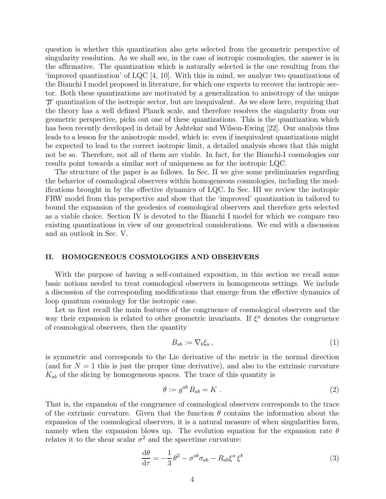question is whether this quantization also gets selected from the geometric perspective of singularity resolution. As we shall see, in the case of isotropic cosmologies, the answer is in the affirmative. The quantization which is naturally selected is the one resulting from the 'improved quantization' of LQC [4, 10]. With this in mind, we analyze two quantizations of the Bianchi I model proposed in literature, for which one expects to recover the isotropic sector. Both these quantizations are motivated by a generalization to anisotropy of the unique  $\mathcal{F}$ ' quantization of the isotropic sector, but are inequivalent. As we show here, requiring that the theory has a well defined Planck scale, and therefore resolves the singularity from our geometric perspective, picks out one of these quantizations. This is the quantization which has been recently developed in detail by Ashtekar and Wilson-Ewing [22]. Our analysis thus leads to a lesson for the anisotropic model, which is: even if inequivalent quantizations might be expected to lead to the correct isotropic limit, a detailed analysis shows that this might not be so. Therefore, not all of them are viable. In fact, for the Bianchi-I cosmologies our results point towards a similar sort of uniqueness as for the isotropic LQC.

The structure of the paper is as follows. In Sec. II we give some preliminaries regarding the behavior of cosmological observers within homogeneous cosmologies, including the modifications brought in by the effective dynamics of LQC. In Sec. III we review the isotropic FRW model from this perspective and show that the 'improved' quantization in tailored to bound the expansion of the geodesics of cosmological observers and therefore gets selected as a viable choice. Section IV is devoted to the Bianchi I model for which we compare two existing quantizations in view of our geometrical considerations. We end with a discussion and an outlook in Sec. V.

### II. HOMOGENEOUS COSMOLOGIES AND OBSERVERS

With the purpose of having a self-contained exposition, in this section we recall some basic notions needed to treat cosmological observers in homogeneous settings. We include a discussion of the corresponding modifications that emerge from the effective dynamics of loop quantum cosmology for the isotropic case.

Let us first recall the main features of the congruence of cosmological observers and the way their expansion is related to other geometric invariants. If  $\xi^a$  denotes the congruence of cosmological observers, then the quantity

$$
B_{ab} := \nabla_b \xi_a \,,\tag{1}
$$

is symmetric and corresponds to the Lie derivative of the metric in the normal direction (and for  $N = 1$  this is just the proper time derivative), and also to the extrinsic curvature  $K_{ab}$  of the slicing by homogeneous spaces. The trace of this quantity is

$$
\theta := g^{ab} B_{ab} = K \tag{2}
$$

That is, the expansion of the congruence of cosmological observers corresponds to the trace of the extrinsic curvature. Given that the function  $\theta$  contains the information about the expansion of the cosmological observers, it is a natural measure of when singularities form, namely when the expansion blows up. The evolution equation for the expansion rate  $\theta$ relates it to the shear scalar  $\sigma^2$  and the spacetime curvature:

$$
\frac{\mathrm{d}\theta}{\mathrm{d}\tau} = -\frac{1}{3}\theta^2 - \sigma^{ab}\sigma_{ab} - R_{ab}\xi^a \xi^b \tag{3}
$$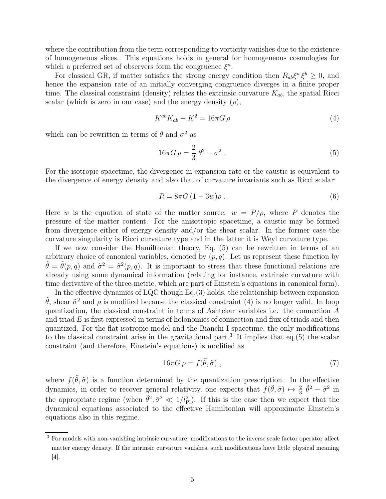where the contribution from the term corresponding to vorticity vanishes due to the existence of homogeneous slices. This equations holds in general for homogeneous cosmologies for which a preferred set of observers form the congruence  $\xi^a$ .

For classical GR, if matter satisfies the strong energy condition then  $R_{ab}\xi^a \xi^b \geq 0$ , and hence the expansion rate of an initially converging congruence diverges in a finite proper time. The classical constraint (density) relates the extrinsic curvature  $K_{ab}$ , the spatial Ricci scalar (which is zero in our case) and the energy density  $(\rho)$ ,

$$
K^{ab}K_{ab} - K^2 = 16\pi G \,\rho\tag{4}
$$

which can be rewritten in terms of  $\theta$  and  $\sigma^2$  as

$$
16\pi G \,\rho = \frac{2}{3}\,\theta^2 - \sigma^2\,. \tag{5}
$$

For the isotropic spacetime, the divergence in expansion rate or the caustic is equivalent to the divergence of energy density and also that of curvature invariants such as Ricci scalar:

$$
R = 8\pi G \left(1 - 3w\right)\rho \tag{6}
$$

Here w is the equation of state of the matter source:  $w = P/\rho$ , where P denotes the pressure of the matter content. For the anisotropic spacetime, a caustic may be formed from divergence either of energy density and/or the shear scalar. In the former case the curvature singularity is Ricci curvature type and in the latter it is Weyl curvature type.

If we now consider the Hamiltonian theory, Eq. (5) can be rewritten in terms of an arbitrary choice of canonical variables, denoted by  $(p, q)$ . Let us represent these function by  $\tilde{\theta} = \tilde{\theta}(p,q)$  and  $\tilde{\sigma}^2 = \tilde{\sigma}^2(p,q)$ . It is important to stress that these functional relations are already using some dynamical information (relating for instance, extrinsic curvature with time derivative of the three-metric, which are part of Einstein's equations in canonical form).

In the effective dynamics of LQC though Eq.(3) holds, the relationship between expansion  $\tilde{\theta}$ , shear  $\tilde{\sigma}^2$  and  $\rho$  is modified because the classical constraint (4) is no longer valid. In loop quantization, the classical constraint in terms of Ashtekar variables i.e. the connection A and triad  $E$  is first expressed in terms of holonomies of connection and flux of triads and then quantized. For the flat isotropic model and the Bianchi-I spacetime, the only modifications to the classical constraint arise in the gravitational part.<sup>3</sup> It implies that eq.(5) the scalar constraint (and therefore, Einstein's equations) is modified as

$$
16\pi G \,\rho = f(\tilde{\theta}, \tilde{\sigma}) \tag{7}
$$

where  $f(\tilde{\theta}, \tilde{\sigma})$  is a function determined by the quantization prescription. In the effective dynamics, in order to recover general relativity, one expects that  $f(\tilde{\theta}, \tilde{\sigma}) \mapsto \frac{2}{3} \tilde{\theta}^2 - \tilde{\sigma}^2$  in the appropriate regime (when  $\tilde{\theta}^2$ ,  $\tilde{\sigma}^2 \ll 1/l_{\rm Pl}^2$ ). If this is the case then we expect that the dynamical equations associated to the effective Hamiltonian will approximate Einstein's equations also in this regime.

<sup>&</sup>lt;sup>3</sup> For models with non-vanishing intrinsic curvature, modifications to the inverse scale factor operator affect matter energy density. If the intrinsic curvature vanishes, such modifications have little physical meaning [4].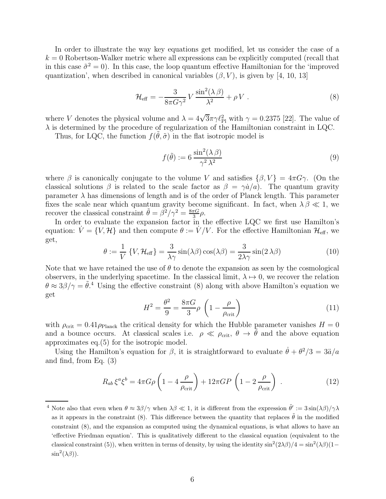In order to illustrate the way key equations get modified, let us consider the case of a  $k = 0$  Robertson-Walker metric where all expressions can be explicitly computed (recall that in this case  $\tilde{\sigma}^2 = 0$ ). In this case, the loop quantum effective Hamiltonian for the 'improved quantization', when described in canonical variables  $(\beta, V)$ , is given by [4, 10, 13]

$$
\mathcal{H}_{\text{eff}} = -\frac{3}{8\pi G\gamma^2} V \frac{\sin^2(\lambda \beta)}{\lambda^2} + \rho V . \qquad (8)
$$

where V denotes the physical volume and  $\lambda = 4\sqrt{3}\pi\gamma \ell_{\rm Pl}^2$  with  $\gamma = 0.2375$  [22]. The value of  $\lambda$  is determined by the procedure of regularization of the Hamiltonian constraint in LQC.

Thus, for LQC, the function  $f(\tilde{\theta}, \tilde{\sigma})$  in the flat isotropic model is

$$
f(\tilde{\theta}) := 6 \frac{\sin^2(\lambda \, \beta)}{\gamma^2 \, \lambda^2} \tag{9}
$$

where  $\beta$  is canonically conjugate to the volume V and satisfies  $\{\beta, V\} = 4\pi G\gamma$ . (On the classical solutions  $\beta$  is related to the scale factor as  $\beta = \gamma \dot{a}/a$ . The quantum gravity parameter  $\lambda$  has dimensions of length and is of the order of Planck length. This parameter fixes the scale near which quantum gravity become significant. In fact, when  $\lambda \beta \ll 1$ , we recover the classical constraint  $\tilde{\theta} = \beta^2/\gamma^2 = \frac{8\pi G}{3}$  $\frac{\pi G}{3}$ ρ.

In order to evaluate the expansion factor in the effective LQC we first use Hamilton's equation:  $\dot{V} = \{V, \mathcal{H}\}\$ and then compute  $\theta := \dot{V}/V$ . For the effective Hamiltonian  $\mathcal{H}_{\text{eff}}$ , we get,

$$
\theta := \frac{1}{V} \{ V, \mathcal{H}_{\text{eff}} \} = \frac{3}{\lambda \gamma} \sin(\lambda \beta) \cos(\lambda \beta) = \frac{3}{2\lambda \gamma} \sin(2\lambda \beta) \tag{10}
$$

Note that we have retained the use of  $\theta$  to denote the expansion as seen by the cosmological observers, in the underlying spacetime. In the classical limit,  $\lambda \mapsto 0$ , we recover the relation  $\theta \approx 3\beta/\gamma = \tilde{\theta}$ <sup>4</sup>. Using the effective constraint (8) along with above Hamilton's equation we get

$$
H^2 = \frac{\theta^2}{9} = \frac{8\pi G}{3}\rho \left(1 - \frac{\rho}{\rho_{\text{crit}}}\right) \tag{11}
$$

with  $\rho_{\rm crit} = 0.41 \rho_{\rm Planck}$  the critical density for which the Hubble parameter vanishes  $H = 0$ and a bounce occurs. At classical scales i.e.  $\rho \ll \rho_{\rm crit}$ ,  $\theta \to \tilde{\theta}$  and the above equation approximates eq.(5) for the isotropic model.

Using the Hamilton's equation for  $\beta$ , it is straightforward to evaluate  $\dot{\theta} + \theta^2/3 = 3\ddot{a}/a$ and find, from Eq. (3)

$$
R_{ab}\xi^a\xi^b = 4\pi G\rho \left(1 - 4\frac{\rho}{\rho_{\rm crit}}\right) + 12\pi GP \left(1 - 2\frac{\rho}{\rho_{\rm crit}}\right) \,. \tag{12}
$$

<sup>&</sup>lt;sup>4</sup> Note also that even when  $\theta \approx 3\beta/\gamma$  when  $\lambda\beta \ll 1$ , it is different from the expression  $\tilde{\theta}' := 3\sin(\lambda\beta)/\gamma\lambda$ as it appears in the constraint (8). This difference between the quantity that replaces  $\tilde{\theta}$  in the modified constraint (8), and the expansion as computed using the dynamical equations, is what allows to have an 'effective Friedman equation'. This is qualitatively different to the classical equation (equivalent to the classical constraint (5)), when written in terms of density, by using the identity  $\sin^2(2\lambda\beta)/4 = \sin^2(\lambda\beta)(1-\beta)$  $\sin^2(\lambda \beta)$ ).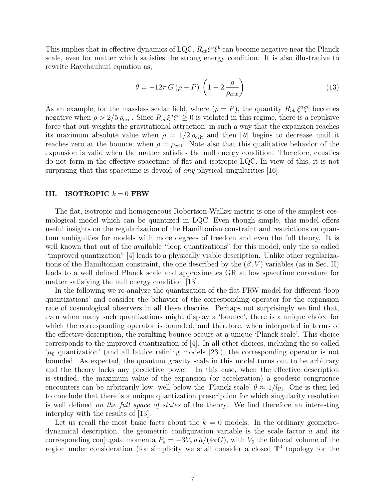This implies that in effective dynamics of LQC,  $R_{ab}\xi^a\xi^b$  can become negative near the Planck scale, even for matter which satisfies the strong energy condition. It is also illustrative to rewrite Raychauhuri equation as,

$$
\dot{\theta} = -12\pi G \left(\rho + P\right) \left(1 - 2\frac{\rho}{\rho_{\rm crit}}\right). \tag{13}
$$

As an example, for the massless scalar field, where  $(\rho = P)$ , the quantity  $R_{ab}\xi^a \xi^b$  becomes negative when  $\rho > 2/5 \rho_{\rm crit}$ . Since  $R_{ab} \xi^a \xi^b \ge 0$  is violated in this regime, there is a repulsive force that out-weights the gravitational attraction, in such a way that the expansion reaches its maximum absolute value when  $\rho = 1/2 \rho_{\text{crit}}$  and then  $|\theta|$  begins to decrease until it reaches zero at the bounce, when  $\rho = \rho_{\rm crit}$ . Note also that this qualitative behavior of the expansion is valid when the matter satisfies the null energy condition. Therefore, caustics do not form in the effective spacetime of flat and isotropic LQC. In view of this, it is not surprising that this spacetime is devoid of *any* physical singularities [16].

#### III. ISOTROPIC  $k = 0$  FRW

The flat, isotropic and homogeneous Robertson-Walker metric is one of the simplest cosmological model which can be quantized in LQC. Even though simple, this model offers useful insights on the regularization of the Hamiltonian constraint and restrictions on quantum ambiguities for models with more degrees of freedom and even the full theory. It is well known that out of the available "loop quantizations" for this model, only the so called "improved quantization" [4] leads to a physically viable description. Unlike other regularizations of the Hamiltonian constraint, the one described by the  $(\beta, V)$  variables (as in Sec. II) leads to a well defined Planck scale and approximates GR at low spacetime curvature for matter satisfying the null energy condition [13].

In the following we re-analyze the quantization of the flat FRW model for different 'loop quantizations' and consider the behavior of the corresponding operator for the expansion rate of cosmological observers in all these theories. Perhaps not surprisingly we find that, even when many such quantizations might display a 'bounce', there is a unique choice for which the corresponding operator is bounded, and therefore, when interpreted in terms of the effective description, the resulting bounce occurs at a unique 'Planck scale'. This choice corresponds to the improved quantization of [4]. In all other choices, including the so called  $\mu_0$  quantization' (and all lattice refining models [23]), the corresponding operator is not bounded. As expected, the quantum gravity scale in this model turns out to be arbitrary and the theory lacks any predictive power. In this case, when the effective description is studied, the maximum value of the expansion (or acceleration) a geodesic congruence encounters can be arbitrarily low, well below the 'Planck scale'  $\theta \approx 1/l_{\text{Pl}}$ . One is then led to conclude that there is a unique quantization prescription for which singularity resolution is well defined on the full space of states of the theory. We find therefore an interesting interplay with the results of [13].

Let us recall the most basic facts about the  $k = 0$  models. In the ordinary geometrodynamical description, the geometric configuration variable is the scale factor  $a$  and its corresponding conjugate momenta  $P_a = -3V_o a \dot{a}/(4\pi G)$ , with  $V_0$  the fiducial volume of the region under consideration (for simplicity we shall consider a closed  $\mathbb{T}^3$  topology for the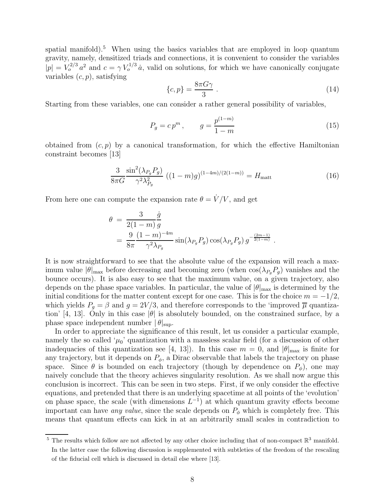spatial manifold).<sup>5</sup> When using the basics variables that are employed in loop quantum gravity, namely, densitized triads and connections, it is convenient to consider the variables  $|p| = V_o^{2/3} a^2$  and  $c = \gamma V_o^{1/3} a$ , valid on solutions, for which we have canonically conjugate variables  $(c, p)$ , satisfying

$$
\{c, p\} = \frac{8\pi G\gamma}{3} \tag{14}
$$

Starting from these variables, one can consider a rather general possibility of variables,

$$
P_g = c p^m, \qquad g = \frac{p^{(1-m)}}{1-m} \tag{15}
$$

obtained from  $(c, p)$  by a canonical transformation, for which the effective Hamiltonian constraint becomes [13]

$$
\frac{3}{8\pi G} \frac{\sin^2(\lambda_{P_g} P_g)}{\gamma^2 \lambda_{P_g}^2} \left( (1 - m)g \right)^{(1 - 4m)/(2(1 - m))} = H_{\text{matt}} \tag{16}
$$

From here one can compute the expansion rate  $\theta = \dot{V}/V$ , and get

$$
\theta = \frac{3}{2(1-m)} \frac{\dot{g}}{g}
$$
  
= 
$$
\frac{9}{8\pi} \frac{(1-m)^{-4m}}{\gamma^2 \lambda_{P_g}} \sin(\lambda_{P_g} P_g) \cos(\lambda_{P_g} P_g) g^{-\frac{(2m-1)}{2(1-m)}}.
$$

It is now straightforward to see that the absolute value of the expansion will reach a maximum value  $|\theta|_{\text{max}}$  before decreasing and becoming zero (when  $\cos(\lambda_{P_q}P_q)$  vanishes and the bounce occurs). It is also easy to see that the maximum value, on a given trajectory, also depends on the phase space variables. In particular, the value of  $|\theta|_{\text{max}}$  is determined by the initial conditions for the matter content except for one case. This is for the choice  $m = -1/2$ , which yields  $P_g = \beta$  and  $g = 2V/3$ , and therefore corresponds to the 'improved  $\overline{\mu}$  quantization' [4, 13]. Only in this case  $|\theta|$  is absolutely bounded, on the constrained surface, by a phase space independent number  $|\theta|_{\text{sun}}$ .

In order to appreciate the significance of this result, let us consider a particular example, namely the so called ' $\mu_0$ ' quantization with a massless scalar field (for a discussion of other inadequacies of this quantization see [4, 13]). In this case  $m = 0$ , and  $|\theta|_{\text{max}}$  is finite for any trajectory, but it depends on  $P_{\phi}$ , a Dirac observable that labels the trajectory on phase space. Since  $\theta$  is bounded on each trajectory (though by dependence on  $P_{\phi}$ ), one may naively conclude that the theory achieves singularity resolution. As we shall now argue this conclusion is incorrect. This can be seen in two steps. First, if we only consider the effective equations, and pretended that there is an underlying spacetime at all points of the 'evolution' on phase space, the scale (with dimensions  $L^{-1}$ ) at which quantum gravity effects become important can have any value, since the scale depends on  $P_{\phi}$  which is completely free. This means that quantum effects can kick in at an arbitrarily small scales in contradiction to

<sup>&</sup>lt;sup>5</sup> The results which follow are not affected by any other choice including that of non-compact  $\mathbb{R}^3$  manifold. In the latter case the following discussion is supplemented with subtleties of the freedom of the rescaling of the fiducial cell which is discussed in detail else where [13].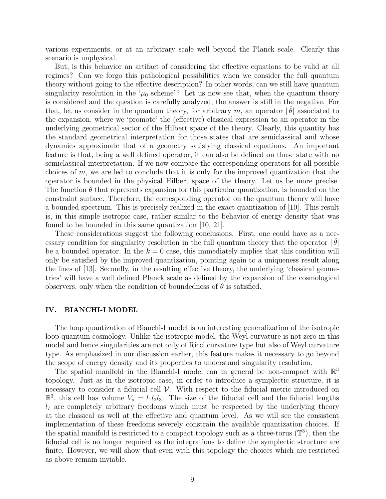various experiments, or at an arbitrary scale well beyond the Planck scale. Clearly this scenario is unphysical.

But, is this behavior an artifact of considering the effective equations to be valid at all regimes? Can we forgo this pathological possibilities when we consider the full quantum theory without going to the effective description? In other words, can we still have quantum singularity resolution in the ' $\mu_0$  scheme'? Let us now see that, when the quantum theory is considered and the question is carefully analyzed, the answer is still in the negative. For that, let us consider in the quantum theory, for arbitrary m, an operator  $|\hat{\theta}|$  associated to the expansion, where we 'promote' the (effective) classical expression to an operator in the underlying geometrical sector of the Hilbert space of the theory. Clearly, this quantity has the standard geometrical interpretation for those states that are semiclassical and whose dynamics approximate that of a geometry satisfying classical equations. An important feature is that, being a well defined operator, it can also be defined on those state with no semiclassical interpretation. If we now compare the corresponding operators for all possible choices of m, we are led to conclude that it is only for the improved quantization that the operator is bounded in the physical Hilbert space of the theory. Let us be more precise. The function  $\theta$  that represents expansion for this particular quantization, is bounded on the constraint surface. Therefore, the corresponding operator on the quantum theory will have a bounded spectrum. This is precisely realized in the exact quantization of [10]. This result is, in this simple isotropic case, rather similar to the behavior of energy density that was found to be bounded in this same quantization [10, 21].

These considerations suggest the following conclusions. First, one could have as a necessary condition for singularity resolution in the full quantum theory that the operator  $|\hat{\theta}|$ be a bounded operator. In the  $k = 0$  case, this immediately implies that this condition will only be satisfied by the improved quantization, pointing again to a uniqueness result along the lines of [13]. Secondly, in the resulting effective theory, the underlying 'classical geometries' will have a well defined Planck scale as defined by the expansion of the cosmological observers, only when the condition of boundedness of  $\theta$  is satisfied.

### IV. BIANCHI-I MODEL

The loop quantization of Bianchi-I model is an interesting generalization of the isotropic loop quantum cosmology. Unlike the isotropic model, the Weyl curvature is not zero in this model and hence singularities are not only of Ricci curvature type but also of Weyl curvature type. As emphasized in our discussion earlier, this feature makes it necessary to go beyond the scope of energy density and its properties to understand singularity resolution.

The spatial manifold in the Bianchi-I model can in general be non-compact with  $\mathbb{R}^3$ topology. Just as in the isotropic case, in order to introduce a symplectic structure, it is necessary to consider a fiducial cell  $\mathcal V$ . With respect to the fiducial metric introduced on  $\mathbb{R}^3$ , this cell has volume  $V_o = l_1 l_2 l_3$ . The size of the fiducial cell and the fiducial lengths  $l_I$  are completely arbitrary freedoms which must be respected by the underlying theory at the classical as well at the effective and quantum level. As we will see the consistent implementation of these freedoms severely constrain the available quantization choices. If the spatial manifold is restricted to a compact topology such as a three-torus  $(\mathbb{T}^3)$ , then the fiducial cell is no longer required as the integrations to define the symplectic structure are finite. However, we will show that even with this topology the choices which are restricted as above remain inviable.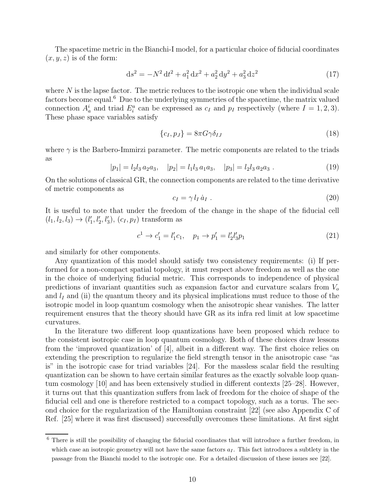The spacetime metric in the Bianchi-I model, for a particular choice of fiducial coordinates  $(x, y, z)$  is of the form:

$$
ds^{2} = -N^{2} dt^{2} + a_{1}^{2} dx^{2} + a_{2}^{2} dy^{2} + a_{3}^{2} dz^{2}
$$
 (17)

where  $N$  is the lapse factor. The metric reduces to the isotropic one when the individual scale factors become equal.<sup>6</sup> Due to the underlying symmetries of the spacetime, the matrix valued connection  $A_a^i$  and triad  $E_i^a$  can be expressed as  $c_I$  and  $p_I$  respectively (where  $I = 1, 2, 3$ ). These phase space variables satisfy

$$
\{c_I, p_J\} = 8\pi G \gamma \delta_{IJ} \tag{18}
$$

where  $\gamma$  is the Barbero-Immirzi parameter. The metric components are related to the triads as

$$
|p_1| = l_2 l_3 a_2 a_3, \quad |p_2| = l_1 l_3 a_1 a_3, \quad |p_3| = l_2 l_3 a_2 a_3. \tag{19}
$$

On the solutions of classical GR, the connection components are related to the time derivative of metric components as

$$
c_I = \gamma l_I \dot{a}_I . \tag{20}
$$

It is useful to note that under the freedom of the change in the shape of the fiducial cell  $(l_1, l_2, l_3) \rightarrow (l'_1, l'_2, l'_3), (c_I, p_I)$  transform as

$$
c^1 \to c'_1 = l'_1 c_1, \quad p_1 \to p'_1 = l'_2 l'_3 p_1 \tag{21}
$$

and similarly for other components.

Any quantization of this model should satisfy two consistency requirements: (i) If performed for a non-compact spatial topology, it must respect above freedom as well as the one in the choice of underlying fiducial metric. This corresponds to independence of physical predictions of invariant quantities such as expansion factor and curvature scalars from  $V_o$ and  $l_I$  and (ii) the quantum theory and its physical implications must reduce to those of the isotropic model in loop quantum cosmology when the anisotropic shear vanishes. The latter requirement ensures that the theory should have GR as its infra red limit at low spacetime curvatures.

In the literature two different loop quantizations have been proposed which reduce to the consistent isotropic case in loop quantum cosmology. Both of these choices draw lessons from the 'improved quantization' of [4], albeit in a different way. The first choice relies on extending the prescription to regularize the field strength tensor in the anisotropic case "as is" in the isotropic case for triad variables [24]. For the massless scalar field the resulting quantization can be shown to have certain similar features as the exactly solvable loop quantum cosmology [10] and has been extensively studied in different contexts [25–28]. However, it turns out that this quantization suffers from lack of freedom for the choice of shape of the fiducial cell and one is therefore restricted to a compact topology, such as a torus. The second choice for the regularization of the Hamiltonian constraint [22] (see also Appendix C of Ref. [25] where it was first discussed) successfully overcomes these limitations. At first sight

<sup>&</sup>lt;sup>6</sup> There is still the possibility of changing the fiducial coordinates that will introduce a further freedom, in which case an isotropic geometry will not have the same factors  $a<sub>I</sub>$ . This fact introduces a subtlety in the passage from the Bianchi model to the isotropic one. For a detailed discussion of these issues see [22].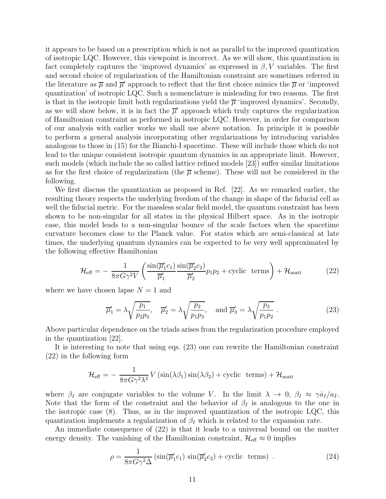it appears to be based on a prescription which is not as parallel to the improved quantization of isotropic LQC. However, this viewpoint is incorrect. As we will show, this quantization in fact completely captures the 'improved dynamics' as expressed in  $\beta$ , V variables. The first and second choice of regularization of the Hamiltonian constraint are sometimes referred in the literature as  $\overline{\mu}$  and  $\overline{\mu}'$  approach to reflect that the first choice mimics the  $\overline{\mu}$  or 'improved quantization' of isotropic LQC. Such a nomenclature is misleading for two reasons. The first is that in the isotropic limit both regularizations yield the  $\overline{\mu}$  'improved dynamics'. Secondly, as we will show below, it is in fact the  $\overline{\mu}'$  approach which truly captures the regularization of Hamiltonian constraint as performed in isotropic LQC. However, in order for comparison of our analysis with earlier works we shall use above notation. In principle it is possible to perform a general analysis incorporating other regularizations by introducing variables analogous to those in (15) for the Bianchi-I spacetime. These will include those which do not lead to the unique consistent isotropic quantum dynamics in an appropriate limit. However, such models (which include the so called lattice refined models [23]) suffer similar limitations as for the first choice of regularization (the  $\overline{\mu}$  scheme). These will not be considered in the following.

We first discuss the quantization as proposed in Ref. [22]. As we remarked earlier, the resulting theory respects the underlying freedom of the change in shape of the fiducial cell as well the fiducial metric. For the massless scalar field model, the quantum constraint has been shown to be non-singular for all states in the physical Hilbert space. As in the isotropic case, this model leads to a non-singular bounce of the scale factors when the spacetime curvature becomes close to the Planck value. For states which are semi-classical at late times, the underlying quantum dynamics can be expected to be very well approximated by the following effective Hamiltonian

$$
\mathcal{H}_{\text{eff}} = -\frac{1}{8\pi G\gamma^2 V} \left( \frac{\sin(\overline{\mu}_1' c_1)}{\overline{\mu}_1'} \frac{\sin(\overline{\mu}_2' c_2)}{\overline{\mu}_2'} p_1 p_2 + \text{cyclic terms} \right) + \mathcal{H}_{\text{matt}} \tag{22}
$$

where we have chosen lapse  $N = 1$  and

$$
\overline{\mu}'_1 = \lambda \sqrt{\frac{p_1}{p_2 p_3}}, \quad \overline{\mu}'_2 = \lambda \sqrt{\frac{p_2}{p_1 p_3}}, \quad \text{and } \overline{\mu}'_3 = \lambda \sqrt{\frac{p_3}{p_1 p_2}}.
$$
\n
$$
(23)
$$

Above particular dependence on the triads arises from the regularization procedure employed in the quantization [22].

It is interesting to note that using eqs. (23) one can rewrite the Hamiltonian constraint (22) in the following form

$$
\mathcal{H}_{\text{eff}} = -\frac{1}{8\pi G \gamma^2 \lambda^2} V \left( \sin(\lambda \beta_1) \sin(\lambda \beta_2) + \text{cyclic terms} \right) + \mathcal{H}_{\text{matt}}
$$

where  $\beta_I$  are conjugate variables to the volume V. In the limit  $\lambda \to 0$ ,  $\beta_I \approx \gamma \dot{a}_I/a_I$ . Note that the form of the constraint and the behavior of  $\beta_I$  is analogous to the one in the isotropic case  $(8)$ . Thus, as in the improved quantization of the isotropic LQC, this quantization implements a regularization of  $\beta_I$  which is related to the expansion rate.

An immediate consequence of (22) is that it leads to a universal bound on the matter energy density. The vanishing of the Hamiltonian constraint,  $\mathcal{H}_{\text{eff}} \approx 0$  implies

$$
\rho = \frac{1}{8\pi G \gamma^2 \Delta} \left( \sin(\overline{\mu}_1' c_1) \sin(\overline{\mu}_2' c_2) + \text{cyclic terms} \right) . \tag{24}
$$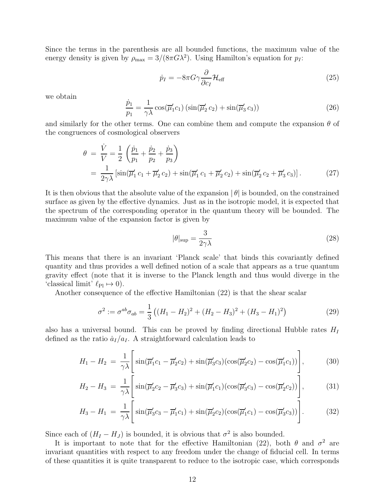Since the terms in the parenthesis are all bounded functions, the maximum value of the energy density is given by  $\rho_{\text{max}} = 3/(8\pi G\lambda^2)$ . Using Hamilton's equation for  $p_I$ :

$$
\dot{p}_I = -8\pi G \gamma \frac{\partial}{\partial c_I} \mathcal{H}_{\text{eff}} \tag{25}
$$

we obtain

$$
\frac{\dot{p}_1}{p_1} = \frac{1}{\gamma \lambda} \cos(\overline{\mu}_1' c_1) \left( \sin(\overline{\mu}_2' c_2) + \sin(\overline{\mu}_3' c_3) \right)
$$
(26)

and similarly for the other terms. One can combine them and compute the expansion  $\theta$  of the congruences of cosmological observers

$$
\theta = \frac{\dot{V}}{V} = \frac{1}{2} \left( \frac{\dot{p}_1}{p_1} + \frac{\dot{p}_2}{p_2} + \frac{\dot{p}_3}{p_3} \right)
$$
  
=  $\frac{1}{2\gamma\lambda} \left[ \sin(\overline{\mu}_1' c_1 + \overline{\mu}_2' c_2) + \sin(\overline{\mu}_1' c_1 + \overline{\mu}_2' c_2) + \sin(\overline{\mu}_2' c_2 + \overline{\mu}_3' c_3) \right].$  (27)

It is then obvious that the absolute value of the expansion  $|\theta|$  is bounded, on the constrained surface as given by the effective dynamics. Just as in the isotropic model, it is expected that the spectrum of the corresponding operator in the quantum theory will be bounded. The maximum value of the expansion factor is given by

$$
|\theta|_{\rm sup} = \frac{3}{2\gamma\lambda} \tag{28}
$$

This means that there is an invariant 'Planck scale' that binds this covariantly defined quantity and thus provides a well defined notion of a scale that appears as a true quantum gravity effect (note that it is inverse to the Planck length and thus would diverge in the 'classical limit'  $\ell_{\text{Pl}} \mapsto 0$ ).

Another consequence of the effective Hamiltonian (22) is that the shear scalar

$$
\sigma^2 := \sigma^{ab}\sigma_{ab} = \frac{1}{3} \left( (H_1 - H_2)^2 + (H_2 - H_3)^2 + (H_3 - H_1)^2 \right) \tag{29}
$$

also has a universal bound. This can be proved by finding directional Hubble rates  $H_I$ defined as the ratio  $\dot{a}_I/a_I$ . A straightforward calculation leads to

$$
H_1 - H_2 = \frac{1}{\gamma \lambda} \left[ \sin(\overline{\mu}_1' c_1 - \overline{\mu}_2' c_2) + \sin(\overline{\mu}_3' c_3) (\cos(\overline{\mu}_2' c_2) - \cos(\overline{\mu}_1' c_1)) \right],\tag{30}
$$

$$
H_2 - H_3 = \frac{1}{\gamma \lambda} \left[ \sin(\overline{\mu}_2' c_2 - \overline{\mu}_3' c_3) + \sin(\overline{\mu}_1' c_1) (\cos(\overline{\mu}_3' c_3) - \cos(\overline{\mu}_2' c_2)) \right],\tag{31}
$$

$$
H_3 - H_1 = \frac{1}{\gamma \lambda} \left[ \sin(\overline{\mu}_3' c_3 - \overline{\mu}_1' c_1) + \sin(\overline{\mu}_2' c_2) (\cos(\overline{\mu}_1' c_1) - \cos(\overline{\mu}_3' c_3)) \right].
$$
 (32)

Since each of  $(H_I - H_J)$  is bounded, it is obvious that  $\sigma^2$  is also bounded.

It is important to note that for the effective Hamiltonian (22), both  $\theta$  and  $\sigma^2$  are invariant quantities with respect to any freedom under the change of fiducial cell. In terms of these quantities it is quite transparent to reduce to the isotropic case, which corresponds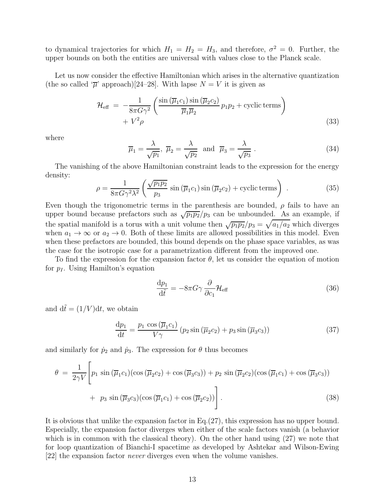to dynamical trajectories for which  $H_1 = H_2 = H_3$ , and therefore,  $\sigma^2 = 0$ . Further, the upper bounds on both the entities are universal with values close to the Planck scale.

Let us now consider the effective Hamiltonian which arises in the alternative quantization (the so called  $\bar{\mu}$  approach)[24–28]. With lapse  $N = V$  it is given as

$$
\mathcal{H}_{\text{eff}} = -\frac{1}{8\pi G\gamma^2} \left( \frac{\sin\left(\overline{\mu}_1 c_1\right) \sin\left(\overline{\mu}_2 c_2\right)}{\overline{\mu}_1 \overline{\mu}_2} p_1 p_2 + \text{cyclic terms} \right) + V^2 \rho
$$
\n(33)

where

$$
\overline{\mu}_1 = \frac{\lambda}{\sqrt{p_1}}, \ \overline{\mu}_2 = \frac{\lambda}{\sqrt{p_2}} \text{ and } \overline{\mu}_3 = \frac{\lambda}{\sqrt{p_3}}.
$$
\n(34)

The vanishing of the above Hamiltonian constraint leads to the expression for the energy density:

$$
\rho = \frac{1}{8\pi G \gamma^2 \lambda^2} \left( \frac{\sqrt{p_1 p_2}}{p_3} \sin \left( \overline{\mu}_1 c_1 \right) \sin \left( \overline{\mu}_2 c_2 \right) + \text{cyclic terms} \right) \,. \tag{35}
$$

Even though the trigonometric terms in the parenthesis are bounded,  $\rho$  fails to have an upper bound because prefactors such as  $\sqrt{p_1p_2}/p_3$  can be unbounded. As an example, if the spatial manifold is a torus with a unit volume then  $\sqrt{p_1p_2}/p_3 = \sqrt{a_1/a_2}$  which diverges when  $a_1 \rightarrow \infty$  or  $a_2 \rightarrow 0$ . Both of these limits are allowed possibilities in this model. Even when these prefactors are bounded, this bound depends on the phase space variables, as was the case for the isotropic case for a parametrization different from the improved one.

To find the expression for the expansion factor  $\theta$ , let us consider the equation of motion for  $p_I$ . Using Hamilton's equation

$$
\frac{\mathrm{d}p_1}{\mathrm{d}\tilde{t}} = -8\pi G \gamma \frac{\partial}{\partial c_1} \mathcal{H}_{\text{eff}} \tag{36}
$$

and  $d\tilde{t} = (1/V)dt$ , we obtain

$$
\frac{\mathrm{d}p_1}{\mathrm{d}t} = \frac{p_1 \cos\left(\overline{\mu}_1 c_1\right)}{V\gamma} \left(p_2 \sin\left(\overline{\mu}_2 c_2\right) + p_3 \sin\left(\overline{\mu}_3 c_3\right)\right) \tag{37}
$$

and similarly for  $\dot{p}_2$  and  $\dot{p}_3$ . The expression for  $\theta$  thus becomes

$$
\theta = \frac{1}{2\gamma V} \left[ p_1 \sin \left( \overline{\mu}_1 c_1 \right) \left( \cos \left( \overline{\mu}_2 c_2 \right) + \cos \left( \overline{\mu}_3 c_3 \right) \right) + p_2 \sin \left( \overline{\mu}_2 c_2 \right) \left( \cos \left( \overline{\mu}_1 c_1 \right) + \cos \left( \overline{\mu}_3 c_3 \right) \right) + p_3 \sin \left( \overline{\mu}_3 c_3 \right) \left( \cos \left( \overline{\mu}_1 c_1 \right) + \cos \left( \overline{\mu}_2 c_2 \right) \right) \right].
$$
\n(38)

It is obvious that unlike the expansion factor in Eq.(27), this expression has no upper bound. Especially, the expansion factor diverges when either of the scale factors vanish (a behavior which is in common with the classical theory). On the other hand using (27) we note that for loop quantization of Bianchi-I spacetime as developed by Ashtekar and Wilson-Ewing [22] the expansion factor never diverges even when the volume vanishes.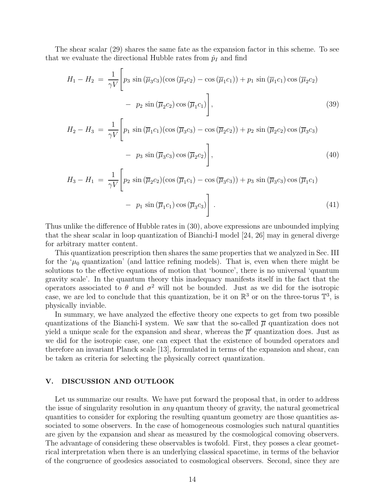The shear scalar (29) shares the same fate as the expansion factor in this scheme. To see that we evaluate the directional Hubble rates from  $\dot{p}_I$  and find

$$
H_1 - H_2 = \frac{1}{\gamma V} \left[ p_3 \sin \left( \overline{\mu}_3 c_3 \right) \left( \cos \left( \overline{\mu}_2 c_2 \right) - \cos \left( \overline{\mu}_1 c_1 \right) \right) + p_1 \sin \left( \overline{\mu}_1 c_1 \right) \cos \left( \overline{\mu}_2 c_2 \right) - p_2 \sin \left( \overline{\mu}_2 c_2 \right) \cos \left( \overline{\mu}_1 c_1 \right) \right], \tag{39}
$$

$$
H_2 - H_3 = \frac{1}{\gamma V} \left[ p_1 \sin \left( \overline{\mu}_1 c_1 \right) \left( \cos \left( \overline{\mu}_3 c_3 \right) - \cos \left( \overline{\mu}_2 c_2 \right) \right) + p_2 \sin \left( \overline{\mu}_2 c_2 \right) \cos \left( \overline{\mu}_3 c_3 \right) - p_3 \sin \left( \overline{\mu}_3 c_3 \right) \cos \left( \overline{\mu}_2 c_2 \right) \right], \tag{40}
$$

$$
H_3 - H_1 = \frac{1}{\gamma V} \left[ p_2 \sin \left( \overline{\mu}_2 c_2 \right) \left( \cos \left( \overline{\mu}_1 c_1 \right) - \cos \left( \overline{\mu}_3 c_3 \right) \right) + p_3 \sin \left( \overline{\mu}_3 c_3 \right) \cos \left( \overline{\mu}_1 c_1 \right) - p_1 \sin \left( \overline{\mu}_1 c_1 \right) \cos \left( \overline{\mu}_3 c_3 \right) \right]. \tag{41}
$$

Thus unlike the difference of Hubble rates in (30), above expressions are unbounded implying that the shear scalar in loop quantization of Bianchi-I model [24, 26] may in general diverge for arbitrary matter content.

This quantization prescription then shares the same properties that we analyzed in Sec. III for the ' $\mu_0$  quantization' (and lattice refining models). That is, even when there might be solutions to the effective equations of motion that 'bounce', there is no universal 'quantum gravity scale'. In the quantum theory this inadequacy manifests itself in the fact that the operators associated to  $\theta$  and  $\sigma^2$  will not be bounded. Just as we did for the isotropic case, we are led to conclude that this quantization, be it on  $\mathbb{R}^3$  or on the three-torus  $\mathbb{T}^3$ , is physically inviable.

In summary, we have analyzed the effective theory one expects to get from two possible quantizations of the Bianchi-I system. We saw that the so-called  $\overline{\mu}$  quantization does not yield a unique scale for the expansion and shear, whereas the  $\overline{\mu}'$  quantization does. Just as we did for the isotropic case, one can expect that the existence of bounded operators and therefore an invariant Planck scale [13], formulated in terms of the expansion and shear, can be taken as criteria for selecting the physically correct quantization.

### V. DISCUSSION AND OUTLOOK

Let us summarize our results. We have put forward the proposal that, in order to address the issue of singularity resolution in any quantum theory of gravity, the natural geometrical quantities to consider for exploring the resulting quantum geometry are those quantities associated to some observers. In the case of homogeneous cosmologies such natural quantities are given by the expansion and shear as measured by the cosmological comoving observers. The advantage of considering these observables is twofold. First, they posses a clear geometrical interpretation when there is an underlying classical spacetime, in terms of the behavior of the congruence of geodesics associated to cosmological observers. Second, since they are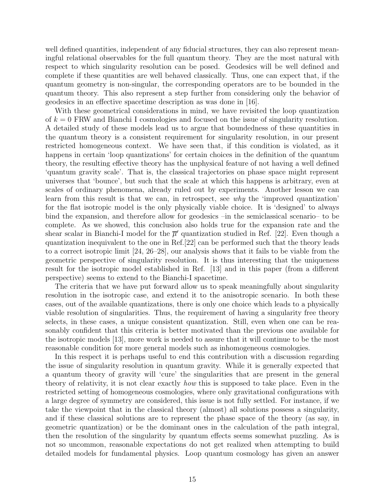well defined quantities, independent of any fiducial structures, they can also represent meaningful relational observables for the full quantum theory. They are the most natural with respect to which singularity resolution can be posed. Geodesics will be well defined and complete if these quantities are well behaved classically. Thus, one can expect that, if the quantum geometry is non-singular, the corresponding operators are to be bounded in the quantum theory. This also represent a step further from considering only the behavior of geodesics in an effective spacetime description as was done in [16].

With these geometrical considerations in mind, we have revisited the loop quantization of  $k = 0$  FRW and Bianchi I cosmologies and focused on the issue of singularity resolution. A detailed study of these models lead us to argue that boundedness of these quantities in the quantum theory is a consistent requirement for singularity resolution, in our present restricted homogeneous context. We have seen that, if this condition is violated, as it happens in certain 'loop quantizations' for certain choices in the definition of the quantum theory, the resulting effective theory has the unphysical feature of not having a well defined 'quantum gravity scale'. That is, the classical trajectories on phase space might represent universes that 'bounce', but such that the scale at which this happens is arbitrary, even at scales of ordinary phenomena, already ruled out by experiments. Another lesson we can learn from this result is that we can, in retrospect, see why the 'improved quantization' for the flat isotropic model is the only physically viable choice. It is 'designed' to always bind the expansion, and therefore allow for geodesics –in the semiclassical scenario– to be complete. As we showed, this conclusion also holds true for the expansion rate and the shear scalar in Bianchi-I model for the  $\overline{\mu}'$  quantization studied in Ref. [22]. Even though a quantization inequivalent to the one in Ref.[22] can be performed such that the theory leads to a correct isotropic limit [24, 26–28], our analysis shows that it fails to be viable from the geometric perspective of singularity resolution. It is thus interesting that the uniqueness result for the isotropic model established in Ref. [13] and in this paper (from a different perspective) seems to extend to the Bianchi-I spacetime.

The criteria that we have put forward allow us to speak meaningfully about singularity resolution in the isotropic case, and extend it to the anisotropic scenario. In both these cases, out of the available quantizations, there is only one choice which leads to a physically viable resolution of singularities. Thus, the requirement of having a singularity free theory selects, in these cases, a unique consistent quantization. Still, even when one can be reasonably confident that this criteria is better motivated than the previous one available for the isotropic models [13], more work is needed to assure that it will continue to be the most reasonable condition for more general models such as inhomogeneous cosmologies.

In this respect it is perhaps useful to end this contribution with a discussion regarding the issue of singularity resolution in quantum gravity. While it is generally expected that a quantum theory of gravity will 'cure' the singularities that are present in the general theory of relativity, it is not clear exactly how this is supposed to take place. Even in the restricted setting of homogeneous cosmologies, where only gravitational configurations with a large degree of symmetry are considered, this issue is not fully settled. For instance, if we take the viewpoint that in the classical theory (almost) all solutions possess a singularity, and if these classical solutions are to represent the phase space of the theory (as say, in geometric quantization) or be the dominant ones in the calculation of the path integral, then the resolution of the singularity by quantum effects seems somewhat puzzling. As is not so uncommon, reasonable expectations do not get realized when attempting to build detailed models for fundamental physics. Loop quantum cosmology has given an answer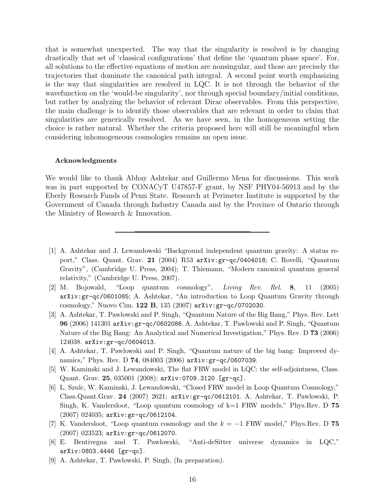that is somewhat unexpected. The way that the singularity is resolved is by changing drastically that set of 'classical configurations' that define the 'quantum phase space'. For, all solutions to the effective equations of motion are nonsingular, and those are precisely the trajectories that dominate the canonical path integral. A second point worth emphasizing is the way that singularities are resolved in LQC. It is not through the behavior of the wavefunction on the 'would-be singularity', nor through special boundary/initial conditions, but rather by analyzing the behavior of relevant Dirac observables. From this perspective, the main challenge is to identify those observables that are relevant in order to claim that singularities are generically resolved. As we have seen, in the homogeneous setting the choice is rather natural. Whether the criteria proposed here will still be meaningful when considering inhomogeneous cosmologies remains an open issue.

#### Acknowledgments

We would like to thank Abhay Ashtekar and Guillermo Mena for discussions. This work was in part supported by CONACyT U47857-F grant, by NSF PHY04-56913 and by the Eberly Research Funds of Penn State. Research at Perimeter Institute is supported by the Government of Canada through Industry Canada and by the Province of Ontario through the Ministry of Research & Innovation.

- [1] A. Ashtekar and J. Lewandowski "Background independent quantum gravity: A status report," Class. Quant. Grav. 21 (2004) R53 arXiv:gr-qc/0404018; C. Rovelli, "Quantum Gravity", (Cambridge U. Press, 2004); T. Thiemann, "Modern canonical quantum general relativity," (Cambridge U. Press, 2007).
- [2] M. Bojowald, "Loop quantum cosmology", Living Rev. Rel. 8, 11 (2005) arXiv:gr-qc/0601085; A. Ashtekar, "An introduction to Loop Quantum Gravity through cosmology," Nuovo Cim. 122 B, 135 (2007) arXiv:gr-qc/0702030.
- [3] A. Ashtekar, T. Pawlowski and P. Singh, "Quantum Nature of the Big Bang," Phys. Rev. Lett 96 (2006) 141301 arXiv:gr-qc/0602086. A. Ashtekar, T. Pawlowski and P. Singh, "Quantum Nature of the Big Bang: An Analytical and Numerical Investigation," Phys. Rev. D 73 (2006) 124038. arXiv:gr-qc/0604013.
- [4] A. Ashtekar, T. Pawlowski and P. Singh, "Quantum nature of the big bang: Improved dynamics," Phys. Rev. D 74, 084003 (2006) arXiv: gr-qc/0607039.
- [5] W. Kaminski and J. Lewandowski, The flat FRW model in LQC: the self-adjointness, Class. Quant. Grav. 25, 035001 (2008); arXiv:0709.3120 [gr-qc].
- [6] L. Szulc, W. Kaminski, J. Lewandowski, "Closed FRW model in Loop Quantum Cosmology," Class.Quant.Grav. 24 (2007) 2621; arXiv:gr-qc/0612101. A. Ashtekar, T. Pawlowski, P. Singh, K. Vandersloot, "Loop quantum cosmology of k=1 FRW models," Phys.Rev. D 75 (2007) 024035; arXiv:gr-qc/0612104.
- [7] K. Vandersloot, "Loop quantum cosmology and the  $k = -1$  FRW model," Phys.Rev. D 75 (2007) 023523; arXiv:gr-qc/0612070.
- [8] E. Bentivegna and T. Pawlowski, "Anti-deSitter universe dynamics in LQC," arXiv:0803.4446 [gr-qc].
- [9] A. Ashtekar, T. Pawlowski, P. Singh, (In preparation).